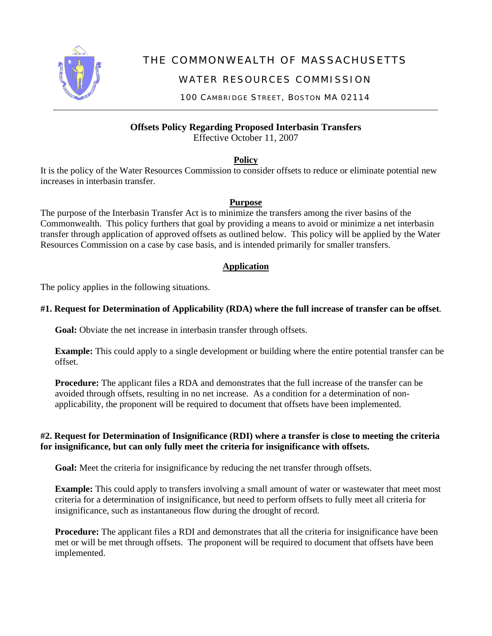

# THE COMMONWEALTH OF MASSACHUSETTS

## WATER RESOURCES COMMISSION

100 CAMBRIDGE STREET, BOSTON MA 02114

**Offsets Policy Regarding Proposed Interbasin Transfers** 

Effective October 11, 2007

**Policy**

It is the policy of the Water Resources Commission to consider offsets to reduce or eliminate potential new increases in interbasin transfer.

## **Purpose**

The purpose of the Interbasin Transfer Act is to minimize the transfers among the river basins of the Commonwealth. This policy furthers that goal by providing a means to avoid or minimize a net interbasin transfer through application of approved offsets as outlined below. This policy will be applied by the Water Resources Commission on a case by case basis, and is intended primarily for smaller transfers.

## **Application**

The policy applies in the following situations.

## **#1. Request for Determination of Applicability (RDA) where the full increase of transfer can be offset***.*

**Goal:** Obviate the net increase in interbasin transfer through offsets.

**Example:** This could apply to a single development or building where the entire potential transfer can be offset.

**Procedure:** The applicant files a RDA and demonstrates that the full increase of the transfer can be avoided through offsets, resulting in no net increase. As a condition for a determination of nonapplicability, the proponent will be required to document that offsets have been implemented.

## **#2. Request for Determination of Insignificance (RDI) where a transfer is close to meeting the criteria for insignificance, but can only fully meet the criteria for insignificance with offsets.**

Goal: Meet the criteria for insignificance by reducing the net transfer through offsets.

**Example:** This could apply to transfers involving a small amount of water or wastewater that meet most criteria for a determination of insignificance, but need to perform offsets to fully meet all criteria for insignificance, such as instantaneous flow during the drought of record.

**Procedure:** The applicant files a RDI and demonstrates that all the criteria for insignificance have been met or will be met through offsets. The proponent will be required to document that offsets have been implemented.